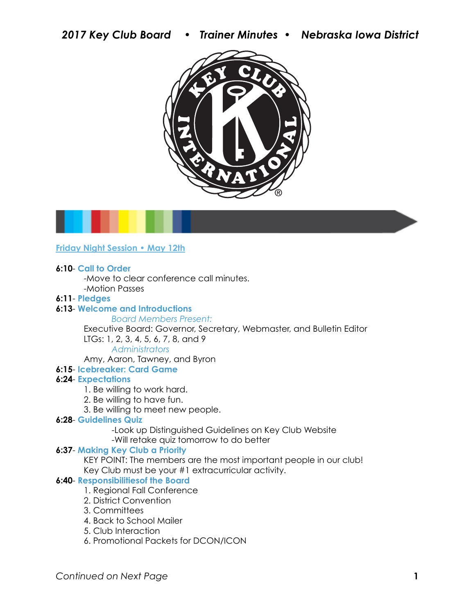



### **Friday Night Session • May 12th**

#### **6:10**- **Call to Order**

 -Move to clear conference call minutes. -Motion Passes

#### **6:11**- **Pledges**

#### **6:13**- **Welcome and Introductions**

#### *Board Members Present:*

 Executive Board: Governor, Secretary, Webmaster, and Bulletin Editor LTGs: 1, 2, 3, 4, 5, 6, 7, 8, and 9

### *Administrators*

Amy, Aaron, Tawney, and Byron

#### **6:15**- **Icebreaker: Card Game**

#### **6:24**- **Expectations**

- 1. Be willing to work hard.
- 2. Be willing to have fun.
- 3. Be willing to meet new people.

### **6:28**- **Guidelines Quiz**

 -Look up Distinguished Guidelines on Key Club Website -Will retake quiz tomorrow to do better

### **6:37**- **Making Key Club a Priority**

 KEY POINT: The members are the most important people in our club! Key Club must be your #1 extracurricular activity.

#### **6:40- Responsibilities of the Board**

- 1. Regional Fall Conference
- 2. District Convention
- 3. Committees
- 4. Back to School Mailer
- 5. Club Interaction
- 6. Promotional Packets for DCON/ICON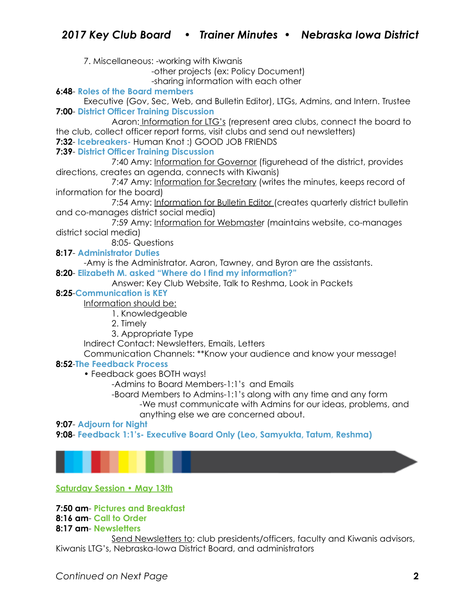7. Miscellaneous: -working with Kiwanis

-other projects (ex: Policy Document)

-sharing information with each other

### **6:48**- **Roles of the Board members**

 Executive (Gov, Sec, Web, and Bulletin Editor), LTGs, Admins, and Intern. Trustee **7:00**- **District Officer Training Discussion** 

 Aaron: Information for LTG's (represent area clubs, connect the board to the club, collect officer report forms, visit clubs and send out newsletters)

**7:32**- **Icebreakers-** Human Knot :) GOOD JOB FRIENDS

### **7:39**- **District Officer Training Discussion**

 7:40 Amy: Information for Governor (figurehead of the district, provides directions, creates an agenda, connects with Kiwanis)

 7:47 Amy: Information for Secretary (writes the minutes, keeps record of information for the board)

 7:54 Amy: Information for Bulletin Editor (creates quarterly district bulletin and co-manages district social media)

 7:59 Amy: Information for Webmaster (maintains website, co-manages district social media)

8:05- Questions

**8:17**- **Administrator Duties** 

 -Amy is the Administrator. Aaron, Tawney, and Byron are the assistants. **8:20**- **Elizabeth M. asked "Where do I find my information?"** 

Answer: Key Club Website, Talk to Reshma, Look in Packets

### **8:25**-**Communication is KEY**

Information should be:

- 1. Knowledgeable
- 2. Timely
- 3. Appropriate Type

Indirect Contact: Newsletters, Emails, Letters

Communication Channels: \*\*Know your audience and know your message!

### **8:52**-**The Feedback Process**

• Feedback goes BOTH ways!

-Admins to Board Members-1:1's and Emails

-Board Members to Admins-1:1's along with any time and any form

 -We must communicate with Admins for our ideas, problems, and anything else we are concerned about.

#### **9:07**- **Adjourn for Night**

**9:08**- **Feedback 1:1's- Executive Board Only (Leo, Samyukta, Tatum, Reshma)**



### **Saturday Session • May 13th**

### **7:50 am**- **Pictures and Breakfast**

#### **8:16 am**- **Call to Order 8:17 am**- **Newsletters**

 Send Newsletters to: club presidents/officers, faculty and Kiwanis advisors, Kiwanis LTG's, Nebraska-Iowa District Board, and administrators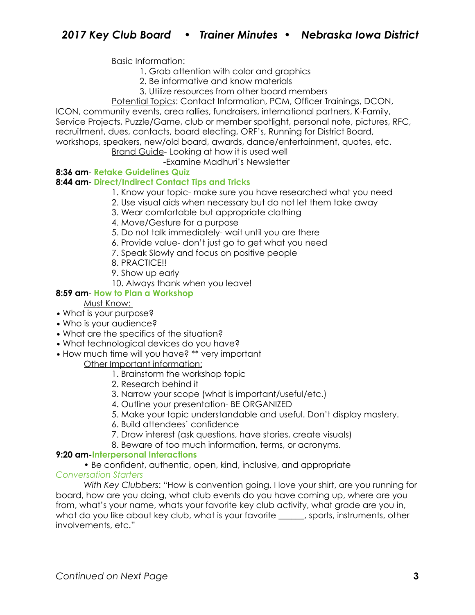### Basic Information:

- 1. Grab attention with color and graphics
- 2. Be informative and know materials
- 3. Utilize resources from other board members
- Potential Topics: Contact Information, PCM, Officer Trainings, DCON,

ICON, community events, area rallies, fundraisers, international partners, K-Family, Service Projects, Puzzle/Game, club or member spotlight, personal note, pictures, RFC, recruitment, dues, contacts, board electing, ORF's, Running for District Board, workshops, speakers, new/old board, awards, dance/entertainment, quotes, etc.

# Brand Guide- Looking at how it is used well

## -Examine Madhuri's Newsletter

### **8:36 am**- **Retake Guidelines Quiz**

### **8:44 am**- **Direct/Indirect Contact Tips and Tricks**

- 1. Know your topic- make sure you have researched what you need
- 2. Use visual aids when necessary but do not let them take away
- 3. Wear comfortable but appropriate clothing
- 4. Move/Gesture for a purpose
- 5. Do not talk immediately- wait until you are there
- 6. Provide value- don't just go to get what you need
- 7. Speak Slowly and focus on positive people
- 8. PRACTICE!!
- 9. Show up early
- 10. Always thank when you leave!

### **8:59 am**- **How to Plan a Workshop**

- Must Know:
- **•** What is your purpose?
- **•** Who is your audience?
- **•** What are the specifics of the situation?
- **•** What technological devices do you have?
- **•** How much time will you have? \*\* very important

### Other Important information:

- 1. Brainstorm the workshop topic
- 2. Research behind it
- 3. Narrow your scope (what is important/useful/etc.)
- 4. Outline your presentation- BE ORGANIZED
- 5. Make your topic understandable and useful. Don't display mastery.
- 6. Build attendees' confidence
- 7. Draw interest (ask questions, have stories, create visuals)
- 8. Beware of too much information, terms, or acronyms.

### **9:20 am-Interpersonal Interactions**

• Be confident, authentic, open, kind, inclusive, and appropriate

### *Conversation Starters*

*With Key Clubbers*: "How is convention going, I love your shirt, are you running for board, how are you doing, what club events do you have coming up, where are you from, what's your name, whats your favorite key club activity, what grade are you in, what do you like about key club, what is your favorite \_\_\_\_\_, sports, instruments, other involvements, etc."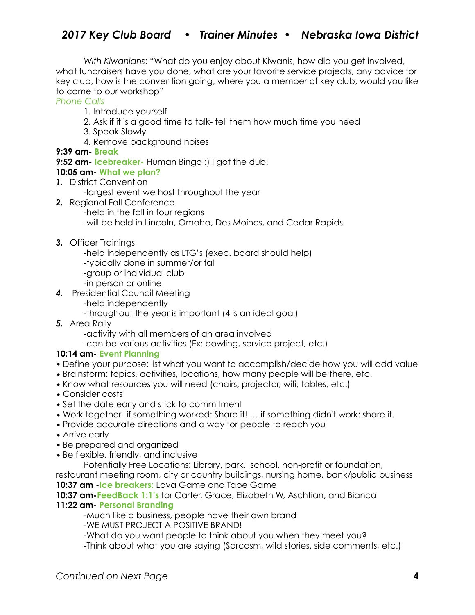# *2017 Key Club Board • Trainer Minutes • Nebraska Iowa District*

*With Kiwanians*: "What do you enjoy about Kiwanis, how did you get involved, what fundraisers have you done, what are your favorite service projects, any advice for key club, how is the convention going, where you a member of key club, would you like to come to our workshop"

*Phone Calls* 

- 1. Introduce yourself
- 2. Ask if it is a good time to talk- tell them how much time you need
- 3. Speak Slowly
- 4. Remove background noises

### **9:39 am- Break**

**9:52 am- Icebreaker-** Human Bingo :) I got the dub!

### **10:05 am- What we plan?**

*1.* District Convention

-largest event we host throughout the year

- *2.* Regional Fall Conference -held in the fall in four regions -will be held in Lincoln, Omaha, Des Moines, and Cedar Rapids
- *3.* Officer Trainings
	- -held independently as LTG's (exec. board should help)
	- -typically done in summer/or fall
	- -group or individual club
	- -in person or online
- *4.* Presidential Council Meeting
	- -held independently
	- -throughout the year is important (4 is an ideal goal)
- *5.* Area Rally

-activity with all members of an area involved

-can be various activities (Ex: bowling, service project, etc.)

### **10:14 am- Event Planning**

- *•* Define your purpose: list what you want to accomplish/decide how you will add value
- *•* Brainstorm: topics, activities, locations, how many people will be there, etc.
- *•* Know what resources you will need (chairs, projector, wifi, tables, etc.)
- *•* Consider costs
- *•* Set the date early and stick to commitment
- *•* Work together- if something worked: Share it! … if something didn't work: share it.
- *•* Provide accurate directions and a way for people to reach you
- *•* Arrive early
- *•* Be prepared and organized
- *•* Be flexible, friendly, and inclusive
	- Potentially Free Locations: Library, park, school, non-profit or foundation,

restaurant meeting room, city or country buildings, nursing home, bank/public business **10:37 am -Ice breakers**: Lava Game and Tape Game

**10:37 am-FeedBack 1:1's** for Carter, Grace, Elizabeth W, Aschtian, and Bianca

# **11:22 am- Personal Branding**

-Much like a business, people have their own brand

-WE MUST PROJECT A POSITIVE BRAND!

-What do you want people to think about you when they meet you?

-Think about what you are saying (Sarcasm, wild stories, side comments, etc.)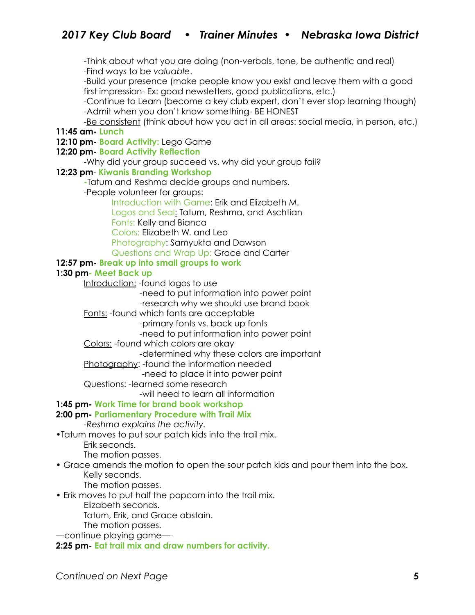-Think about what you are doing (non-verbals, tone, be authentic and real) -Find ways to be *valuable*.

 -Build your presence (make people know you exist and leave them with a good first impression- Ex: good newsletters, good publications, etc.)

 -Continue to Learn (become a key club expert, don't ever stop learning though) -Admit when you don't know something- BE HONEST

 -Be consistent (think about how you act in all areas: social media, in person, etc.) **11:45 am- Lunch** 

#### **12:10 pm- Board Activity:** Lego Game

#### **12:20 pm- Board Activity Reflection**

-Why did your group succeed vs. why did your group fail?

#### **12:23 pm**- **Kiwanis Branding Workshop**

 **-**Tatum and Reshma decide groups and numbers.

-People volunteer for groups:

 Introduction with Game: Erik and Elizabeth M. Logos and Seal: Tatum, Reshma, and Aschtian Fonts: Kelly and Bianca Colors: Elizabeth W. and Leo Photography: Samyukta and Dawson Questions and Wrap Up: Grace and Carter

### **12:57 pm- Break up into small groups to work**

#### **1:30 pm- Meet Back up**

Introduction: - found logos to use

-need to put information into power point

-research why we should use brand book

### Fonts: -found which fonts are acceptable

-primary fonts vs. back up fonts

-need to put information into power point

### Colors: -found which colors are okay

-determined why these colors are important

Photography: -found the information needed

-need to place it into power point

Questions: -learned some research

-will need to learn all information

### **1:45 pm- Work Time for brand book workshop**

### **2:00 pm- Parliamentary Procedure with Trail Mix**

*-Reshma explains the activity.* 

•Tatum moves to put sour patch kids into the trail mix.

Erik seconds.

The motion passes.

• Grace amends the motion to open the sour patch kids and pour them into the box. Kelly seconds.

The motion passes.

• Erik moves to put half the popcorn into the trail mix.

Elizabeth seconds.

Tatum, Erik, and Grace abstain.

The motion passes.

—continue playing game—-

**2:25 pm- Eat trail mix and draw numbers for activity.**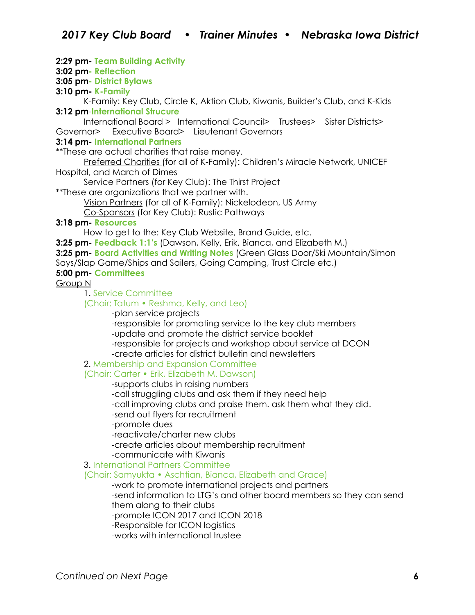### **2:29 pm- Team Building Activity**

#### **3:02 pm- Reflection**

**3:05 pm- District Bylaws** 

### **3:10 pm- K-Family**

K-Family: Key Club, Circle K, Aktion Club, Kiwanis, Builder's Club, and K-Kids **3:12 pm**-**International Strucure** 

International Board > International Council> Trustees> Sister Districts> Governor> Executive Board> Lieutenant Governors

#### **3:14 pm- International Partners**

\*\*These are actual charities that raise money.

Preferred Charities (for all of K-Family): Children's Miracle Network, UNICEF Hospital, and March of Dimes

Service Partners (for Key Club): The Thirst Project

\*\*These are organizations that we partner with.

Vision Partners (for all of K-Family): Nickelodeon, US Army

Co-Sponsors (for Key Club): Rustic Pathways

### **3:18 pm- Resources**

How to get to the: Key Club Website, Brand Guide, etc.

**3:25 pm- Feedback 1:1's** (Dawson, Kelly, Erik, Bianca, and Elizabeth M.)

**3:25 pm- Board Activities and Writing Notes** (Green Glass Door/Ski Mountain/Simon

Says/Slap Game/Ships and Sailers, Going Camping, Trust Circle etc.)

### **5:00 pm- Committees**

Group N

1. Service Committee

#### (Chair: Tatum • Reshma, Kelly, and Leo)

-plan service projects

-responsible for promoting service to the key club members

-update and promote the district service booklet

-responsible for projects and workshop about service at DCON

-create articles for district bulletin and newsletters

### 2. Membership and Expansion Committee

### (Chair: Carter • Erik, Elizabeth M. Dawson)

-supports clubs in raising numbers

-call struggling clubs and ask them if they need help

-call improving clubs and praise them. ask them what they did.

-send out flyers for recruitment

-promote dues

-reactivate/charter new clubs

-create articles about membership recruitment

-communicate with Kiwanis

### 3. International Partners Committee

### (Chair: Samyukta • Aschtian, Bianca, Elizabeth and Grace)

-work to promote international projects and partners

 -send information to LTG's and other board members so they can send them along to their clubs

-promote ICON 2017 and ICON 2018

-Responsible for ICON logistics

-works with international trustee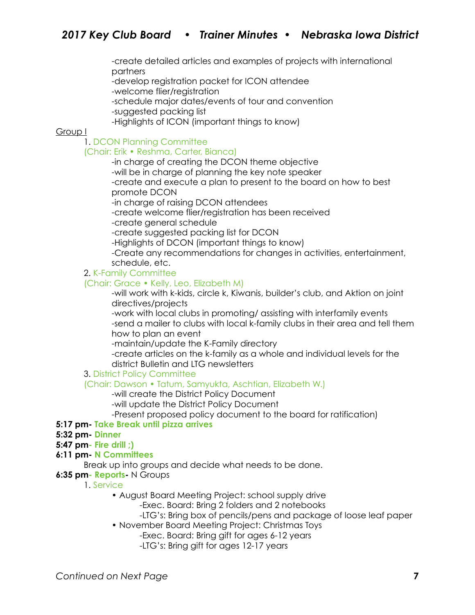-create detailed articles and examples of projects with international partners

-develop registration packet for ICON attendee

-welcome flier/registration

-schedule major dates/events of tour and convention

-suggested packing list

-Highlights of ICON (important things to know)

#### Group I

### 1. DCON Planning Committee

### (Chair: Erik • Reshma, Carter, Bianca)

-in charge of creating the DCON theme objective

-will be in charge of planning the key note speaker

 -create and execute a plan to present to the board on how to best promote DCON

-in charge of raising DCON attendees

-create welcome flier/registration has been received

-create general schedule

-create suggested packing list for DCON

-Highlights of DCON (important things to know)

 -Create any recommendations for changes in activities, entertainment, schedule, etc.

2. K-Family Committee

#### (Chair: Grace • Kelly, Leo, Elizabeth M)

 -will work with k-kids, circle k, Kiwanis, builder's club, and Aktion on joint directives/projects

 -work with local clubs in promoting/ assisting with interfamily events -send a mailer to clubs with local k-family clubs in their area and tell them how to plan an event

-maintain/update the K-Family directory

 -create articles on the k-family as a whole and individual levels for the district Bulletin and LTG newsletters

### 3. District Policy Committee

### (Chair: Dawson • Tatum, Samyukta, Aschtian, Elizabeth W.)

-will create the District Policy Document

-will update the District Policy Document

-Present proposed policy document to the board for ratification)

### **5:17 pm- Take Break until pizza arrives**

### **5:32 pm- Dinner**

#### **5:47 pm- Fire drill ;)**

### **6:11 pm- N Committees**

Break up into groups and decide what needs to be done.

**6:35 pm- Reports-** N Groups

1. Service

• August Board Meeting Project: school supply drive

-Exec. Board: Bring 2 folders and 2 notebooks

-LTG's: Bring box of pencils/pens and package of loose leaf paper

• November Board Meeting Project: Christmas Toys

-Exec. Board: Bring gift for ages 6-12 years

-LTG's: Bring gift for ages 12-17 years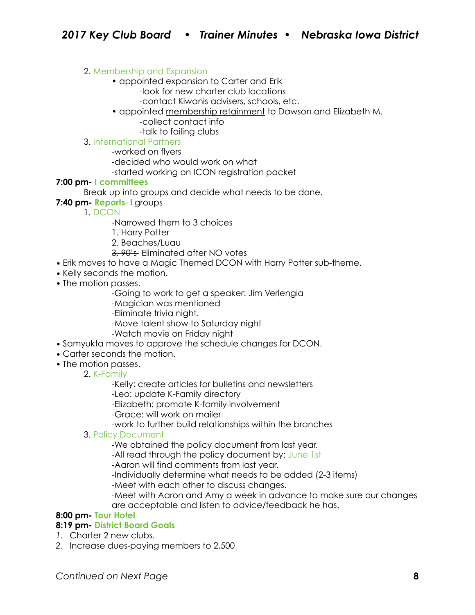### 2. Membership and Expansion

- appointed expansion to Carter and Erik -look for new charter club locations
	- -contact Kiwanis advisers, schools, etc.
- appointed membership retainment to Dawson and Elizabeth M.
	- -collect contact info
	- -talk to failing clubs

### 3. International Partners

-worked on flyers

-decided who would work on what

-started working on ICON registration packet

### **7:00 pm- I committees**

Break up into groups and decide what needs to be done.

**7:40 pm- Reports**- I groups

1. DCON

- -Narrowed them to 3 choices
- 1. Harry Potter
- 2. Beaches/Luau
- 3. 90's Eliminated after NO votes
- *•* Erik moves to have a Magic Themed DCON with Harry Potter sub-theme.
- *•* Kelly seconds the motion.
- *•* The motion passes.
	- -Going to work to get a speaker: Jim Verlengia
	- -Magician was mentioned
	- -Eliminate trivia night.
	- -Move talent show to Saturday night
	- -Watch movie on Friday night
- *•* Samyukta moves to approve the schedule changes for DCON.
- *•* Carter seconds the motion.
- *•* The motion passes.

### 2. K-Family

-Kelly: create articles for bulletins and newsletters

- -Leo: update K-Family directory
- -Elizabeth: promote K-family involvement
- -Grace: will work on mailer
- -work to further build relationships within the branches
- 3. Policy Document
	- -We obtained the policy document from last year.
	- -All read through the policy document by: June 1st
	- -Aaron will find comments from last year.
	- -Individually determine what needs to be added (2-3 items)
	- -Meet with each other to discuss changes.
	- -Meet with Aaron and Amy a week in advance to make sure our changes are acceptable and listen to advice/feedback he has.

### **8:00 pm- Tour Hotel**

### **8:19 pm- District Board Goals**

- *1.* Charter 2 new clubs.
- *2.* Increase dues-paying members to 2,500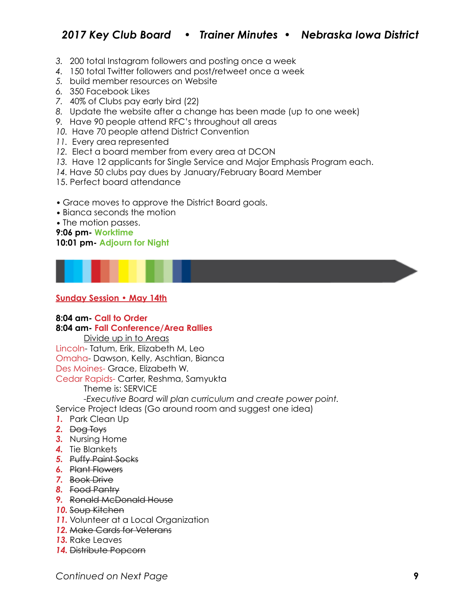# *2017 Key Club Board • Trainer Minutes • Nebraska Iowa District*

- *3.* 200 total Instagram followers and posting once a week
- *4.* 150 total Twitter followers and post/retweet once a week
- *5.* build member resources on Website
- *6.* 350 Facebook Likes
- *7.* 40% of Clubs pay early bird (22)
- *8.* Update the website after a change has been made (up to one week)
- *9.* Have 90 people attend RFC's throughout all areas
- *10.* Have 70 people attend District Convention
- *11.* Every area represented
- *12.* Elect a board member from every area at DCON
- *13.* Have 12 applicants for Single Service and Major Emphasis Program each.
- *14.* Have 50 clubs pay dues by January/February Board Member
- 15. Perfect board attendance
- *•* Grace moves to approve the District Board goals.
- Bianca seconds the motion

*•* The motion passes.

#### **9:06 pm- Worktime 10:01 pm- Adjourn for Night**



### **Sunday Session • May 14th**

#### **8:04 am- Call to Order 8:04 am- Fall Conference/Area Rallies**

Divide up in to Areas

Lincoln- Tatum, Erik, Elizabeth M, Leo Omaha- Dawson, Kelly, Aschtian, Bianca

Des Moines- Grace, Elizabeth W.

Cedar Rapids- Carter, Reshma, Samyukta

Theme is: SERVICE

*-Executive Board will plan curriculum and create power point.* 

Service Project Ideas (Go around room and suggest one idea)

- *1.* Park Clean Up
- *2.* Dog Toys
- *3.* Nursing Home
- *4.* Tie Blankets
- *5.* Puffy Paint Socks
- *6.* Plant Flowers
- *7.* Book Drive
- *8.* Food Pantry
- *9.* Ronald McDonald House
- *10.* Soup Kitchen
- **11.** Volunteer at a Local Organization
- *12.* Make Cards for Veterans
- *13.* Rake Leaves
- *14.* Distribute Popcorn

*Continued on Next Page* **9**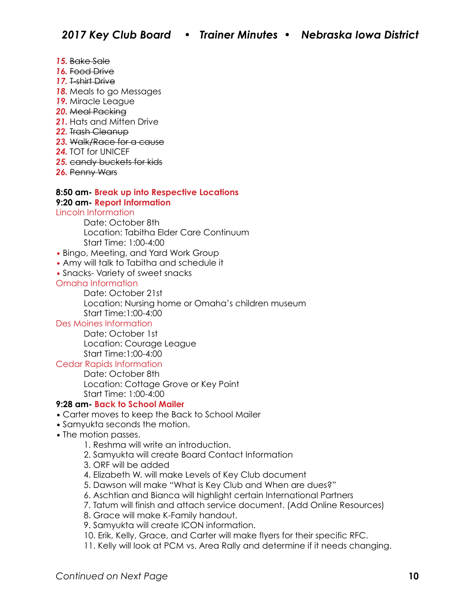- *15.* Bake Sale
- *16.* Food Drive
- *17.* T-shirt Drive
- *18.* Meals to go Messages
- *19.* Miracle League
- *20.* Meal Packing
- *21.* Hats and Mitten Drive
- *22.* Trash Cleanup
- *23.* Walk/Race for a cause
- *24.* TOT for UNICEF
- *25.* candy buckets for kids
- *26.* Penny Wars

#### **8:50 am- Break up into Respective Locations 9:20 am- Report Information**

Lincoln Information

- Date: October 8th Location: Tabitha Elder Care Continuum Start Time: 1:00-4:00
- *•* Bingo, Meeting, and Yard Work Group
- *•* Amy will talk to Tabitha and schedule it
- *•* Snacks- Variety of sweet snacks

#### Omaha Information

 Date: October 21st Location: Nursing home or Omaha's children museum Start Time:1:00-4:00

### Des Moines Information

 Date: October 1st Location: Courage League Start Time:1:00-4:00

### Cedar Rapids Information

 Date: October 8th Location: Cottage Grove or Key Point Start Time: 1:00-4:00

### **9:28 am- Back to School Mailer**

- *•* Carter moves to keep the Back to School Mailer
- *•* Samyukta seconds the motion.
- The motion passes.
	- 1. Reshma will write an introduction.
	- 2. Samyukta will create Board Contact Information
	- 3. ORF will be added
	- 4. Elizabeth W. will make Levels of Key Club document
	- 5. Dawson will make "What is Key Club and When are dues?"
	- 6. Aschtian and Bianca will highlight certain International Partners
	- 7. Tatum will finish and attach service document. (Add Online Resources)
	- 8. Grace will make K-Family handout.
	- 9. Samyukta will create ICON information.
	- 10. Erik, Kelly, Grace, and Carter will make flyers for their specific RFC.
	- 11. Kelly will look at PCM vs. Area Rally and determine if it needs changing.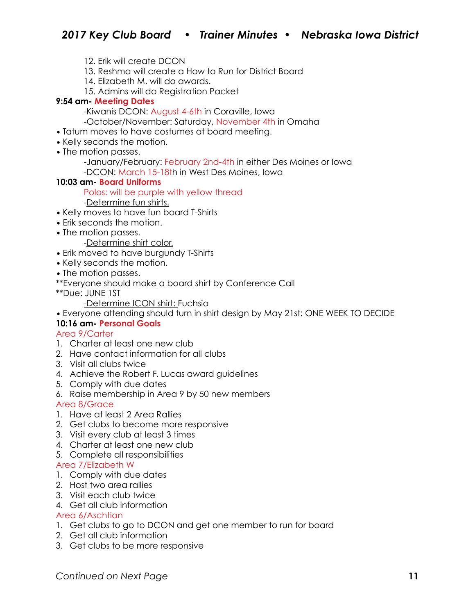- 12. Erik will create DCON
- 13. Reshma will create a How to Run for District Board
- 14. Elizabeth M. will do awards.
- 15. Admins will do Registration Packet

### **9:54 am- Meeting Dates**

-Kiwanis DCON: August 4-6th in Coraville, Iowa

- -October/November: Saturday, November 4th in Omaha
- *•* Tatum moves to have costumes at board meeting.
- *•* Kelly seconds the motion.
- *•* The motion passes.
	- -January/February: February 2nd-4th in either Des Moines or Iowa
	- -DCON: March 15-18th in West Des Moines, Iowa

#### **10:03 am- Board Uniforms**

Polos: will be purple with yellow thread

#### -Determine fun shirts.

- *•* Kelly moves to have fun board T-Shirts
- *•* Erik seconds the motion.
- *•* The motion passes.

-Determine shirt color.

- *•* Erik moved to have burgundy T-Shirts
- *•* Kelly seconds the motion.
- *•* The motion passes.
- \*\*Everyone should make a board shirt by Conference Call
- \*\*Due: JUNE 1ST

-Determine ICON shirt: Fuchsia

*•* Everyone attending should turn in shirt design by May 21st: ONE WEEK TO DECIDE

### **10:16 am- Personal Goals**

#### Area 9/Carter

- 1. Charter at least one new club
- 2. Have contact information for all clubs
- 3. Visit all clubs twice
- 4. Achieve the Robert F. Lucas award guidelines
- 5. Comply with due dates
- 6. Raise membership in Area 9 by 50 new members

Area 8/Grace

- 1. Have at least 2 Area Rallies
- 2. Get clubs to become more responsive
- 3. Visit every club at least 3 times
- 4. Charter at least one new club
- 5. Complete all responsibilities

### Area 7/Elizabeth W

- 1. Comply with due dates
- 2. Host two area rallies
- 3. Visit each club twice
- 4. Get all club information

### Area 6/Aschtian

- 1. Get clubs to go to DCON and get one member to run for board
- 2. Get all club information
- 3. Get clubs to be more responsive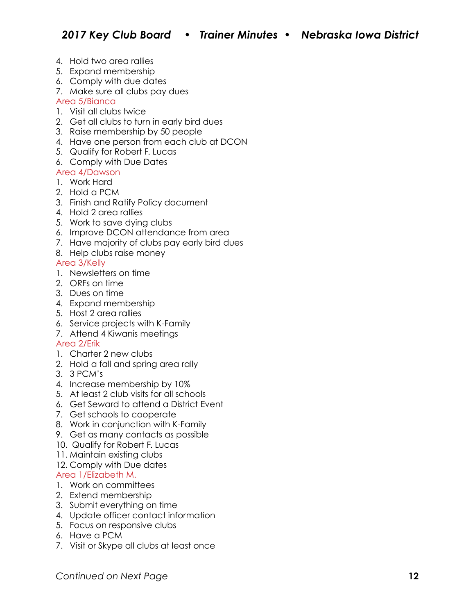- 4. Hold two area rallies
- 5. Expand membership
- 6. Comply with due dates
- 7. Make sure all clubs pay dues

### Area 5/Bianca

- 1. Visit all clubs twice
- 2. Get all clubs to turn in early bird dues
- 3. Raise membership by 50 people
- 4. Have one person from each club at DCON
- 5. Qualify for Robert F. Lucas
- 6. Comply with Due Dates

### Area 4/Dawson

- 1. Work Hard
- 2. Hold a PCM
- 3. Finish and Ratify Policy document
- 4. Hold 2 area rallies
- 5. Work to save dying clubs
- 6. Improve DCON attendance from area
- 7. Have majority of clubs pay early bird dues
- 8. Help clubs raise money

### Area 3/Kelly

- 1. Newsletters on time
- 2. ORFs on time
- 3. Dues on time
- 4. Expand membership
- 5. Host 2 area rallies
- 6. Service projects with K-Family
- 7. Attend 4 Kiwanis meetings

### Area 2/Erik

- 1. Charter 2 new clubs
- 2. Hold a fall and spring area rally
- 3. 3 PCM's
- 4. Increase membership by 10%
- 5. At least 2 club visits for all schools
- 6. Get Seward to attend a District Event
- 7. Get schools to cooperate
- 8. Work in conjunction with K-Family
- 9. Get as many contacts as possible
- 10. Qualify for Robert F. Lucas
- 11. Maintain existing clubs
- 12. Comply with Due dates

### Area 1/Elizabeth M.

- 1. Work on committees
- 2. Extend membership
- 3. Submit everything on time
- 4. Update officer contact information
- 5. Focus on responsive clubs
- 6. Have a PCM
- 7. Visit or Skype all clubs at least once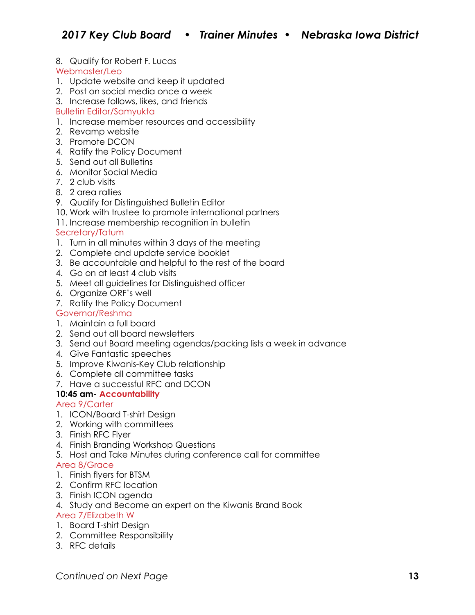8. Qualify for Robert F. Lucas

### Webmaster/Leo

- 1. Update website and keep it updated
- 2. Post on social media once a week
- 3. Increase follows, likes, and friends

### Bulletin Editor/Samyukta

- 1. Increase member resources and accessibility
- 2. Revamp website
- 3. Promote DCON
- 4. Ratify the Policy Document
- 5. Send out all Bulletins
- 6. Monitor Social Media
- 7. 2 club visits
- 8. 2 area rallies
- 9. Qualify for Distinguished Bulletin Editor
- 10. Work with trustee to promote international partners
- 11. Increase membership recognition in bulletin

### Secretary/Tatum

- 1. Turn in all minutes within 3 days of the meeting
- 2. Complete and update service booklet
- 3. Be accountable and helpful to the rest of the board
- 4. Go on at least 4 club visits
- 5. Meet all guidelines for Distinguished officer
- 6. Organize ORF's well
- 7. Ratify the Policy Document

### Governor/Reshma

- 1. Maintain a full board
- 2. Send out all board newsletters
- 3. Send out Board meeting agendas/packing lists a week in advance
- 4. Give Fantastic speeches
- 5. Improve Kiwanis-Key Club relationship
- 6. Complete all committee tasks
- 7. Have a successful RFC and DCON

### **10:45 am- Accountability**

### Area 9/Carter

- 1. ICON/Board T-shirt Design
- 2. Working with committees
- 3. Finish RFC Flyer
- 4. Finish Branding Workshop Questions
- 5. Host and Take Minutes during conference call for committee

### Area 8/Grace

- 1. Finish flyers for BTSM
- 2. Confirm RFC location
- 3. Finish ICON agenda
- 4. Study and Become an expert on the Kiwanis Brand Book

### Area 7/Elizabeth W

- 1. Board T-shirt Design
- 2. Committee Responsibility
- 3. RFC details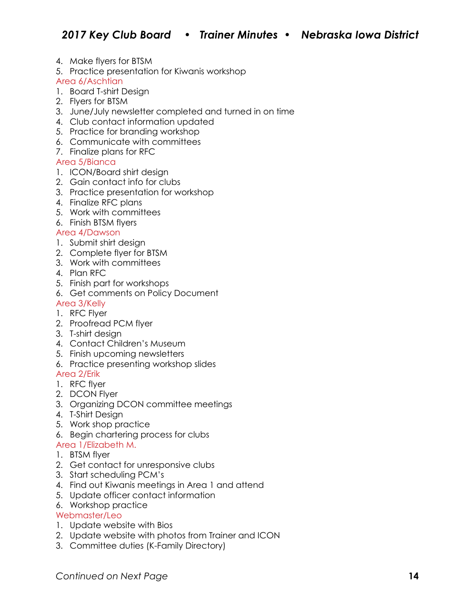- 4. Make flyers for BTSM
- 5. Practice presentation for Kiwanis workshop

Area 6/Aschtian

- 1. Board T-shirt Design
- 2. Flyers for BTSM
- 3. June/July newsletter completed and turned in on time
- 4. Club contact information updated
- 5. Practice for branding workshop
- 6. Communicate with committees
- 7. Finalize plans for RFC

### Area 5/Bianca

- 1. ICON/Board shirt design
- 2. Gain contact info for clubs
- 3. Practice presentation for workshop
- 4. Finalize RFC plans
- 5. Work with committees
- 6. Finish BTSM flyers

### Area 4/Dawson

- 1. Submit shirt design
- 2. Complete flyer for BTSM
- 3. Work with committees
- 4. Plan RFC
- 5. Finish part for workshops
- 6. Get comments on Policy Document

### Area 3/Kelly

- 1. RFC Flyer
- 2. Proofread PCM flyer
- 3. T-shirt design
- 4. Contact Children's Museum
- 5. Finish upcoming newsletters
- 6. Practice presenting workshop slides

### Area 2/Erik

- 1. RFC flyer
- 2. DCON Flyer
- 3. Organizing DCON committee meetings
- 4. T-Shirt Design
- 5. Work shop practice
- 6. Begin chartering process for clubs
- Area 1/Elizabeth M.
- 1. BTSM flyer
- 2. Get contact for unresponsive clubs
- 3. Start scheduling PCM's
- 4. Find out Kiwanis meetings in Area 1 and attend
- 5. Update officer contact information
- 6. Workshop practice

### Webmaster/Leo

- 1. Update website with Bios
- 2. Update website with photos from Trainer and ICON
- 3. Committee duties (K-Family Directory)